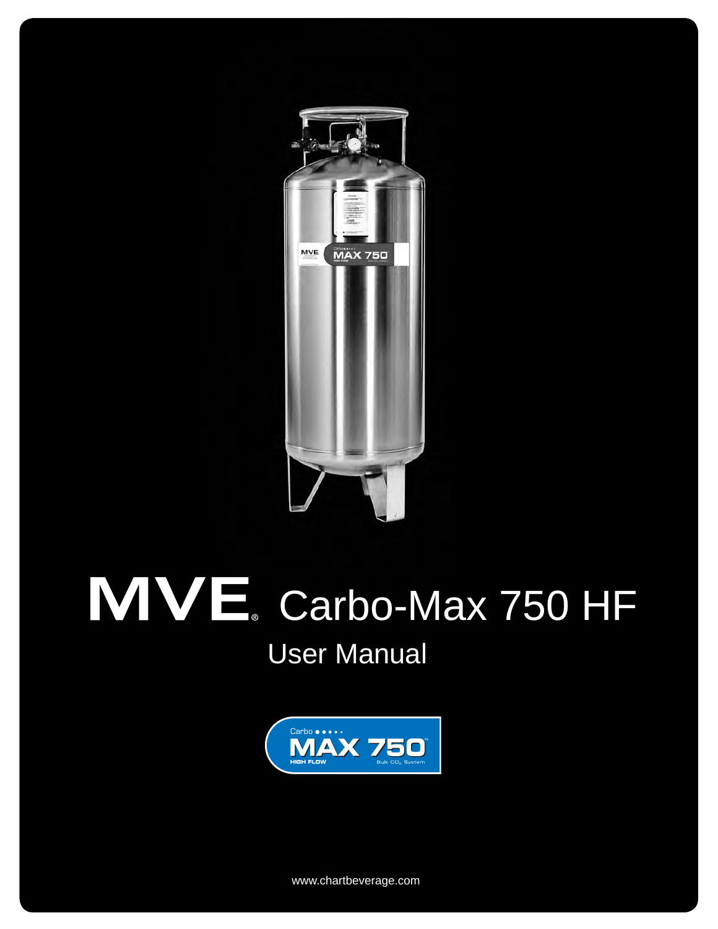

# Carbo-Max 750 HF User Manual



wwww.chartbeverage.com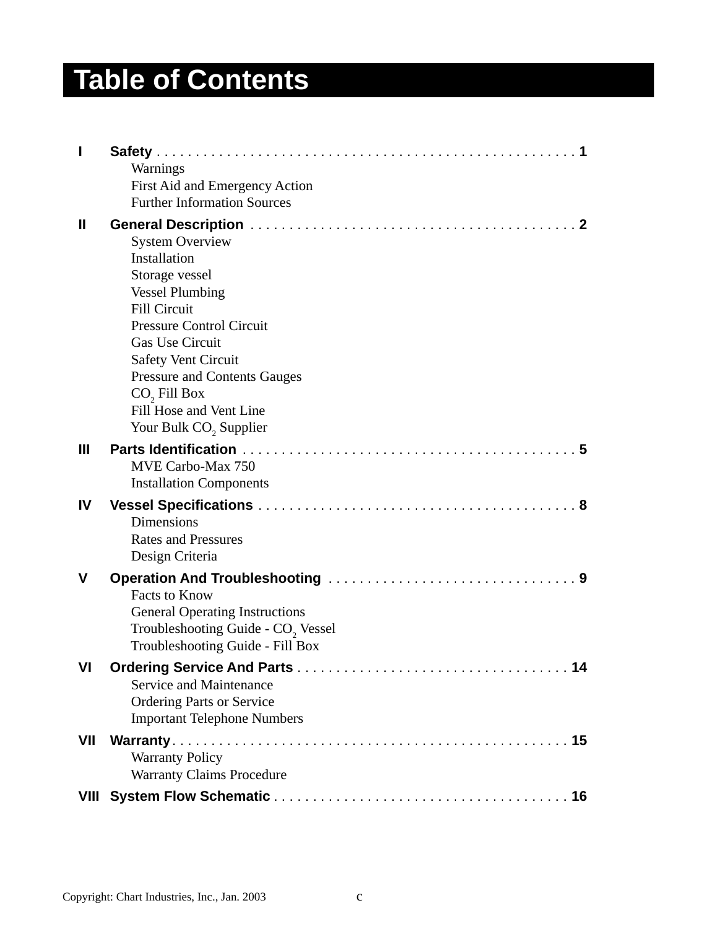## **Table of Contents**

|              | Warnings                                                                                                                                                                                                                                                                                                                          |
|--------------|-----------------------------------------------------------------------------------------------------------------------------------------------------------------------------------------------------------------------------------------------------------------------------------------------------------------------------------|
|              | First Aid and Emergency Action                                                                                                                                                                                                                                                                                                    |
|              | <b>Further Information Sources</b>                                                                                                                                                                                                                                                                                                |
| $\mathbf{I}$ | <b>System Overview</b><br>Installation<br>Storage vessel<br><b>Vessel Plumbing</b><br><b>Fill Circuit</b><br><b>Pressure Control Circuit</b><br>Gas Use Circuit<br><b>Safety Vent Circuit</b><br><b>Pressure and Contents Gauges</b><br>CO <sub>2</sub> Fill Box<br>Fill Hose and Vent Line<br>Your Bulk CO <sub>2</sub> Supplier |
| Ш            | MVE Carbo-Max 750<br><b>Installation Components</b>                                                                                                                                                                                                                                                                               |
| IV           | Dimensions<br><b>Rates and Pressures</b><br>Design Criteria                                                                                                                                                                                                                                                                       |
| V            | <b>Facts to Know</b><br><b>General Operating Instructions</b><br>Troubleshooting Guide - CO <sub>2</sub> Vessel<br>Troubleshooting Guide - Fill Box                                                                                                                                                                               |
| VI           | Service and Maintenance<br><b>Ordering Parts or Service</b><br><b>Important Telephone Numbers</b>                                                                                                                                                                                                                                 |
| VII          | <b>Warranty Policy</b><br><b>Warranty Claims Procedure</b>                                                                                                                                                                                                                                                                        |
|              |                                                                                                                                                                                                                                                                                                                                   |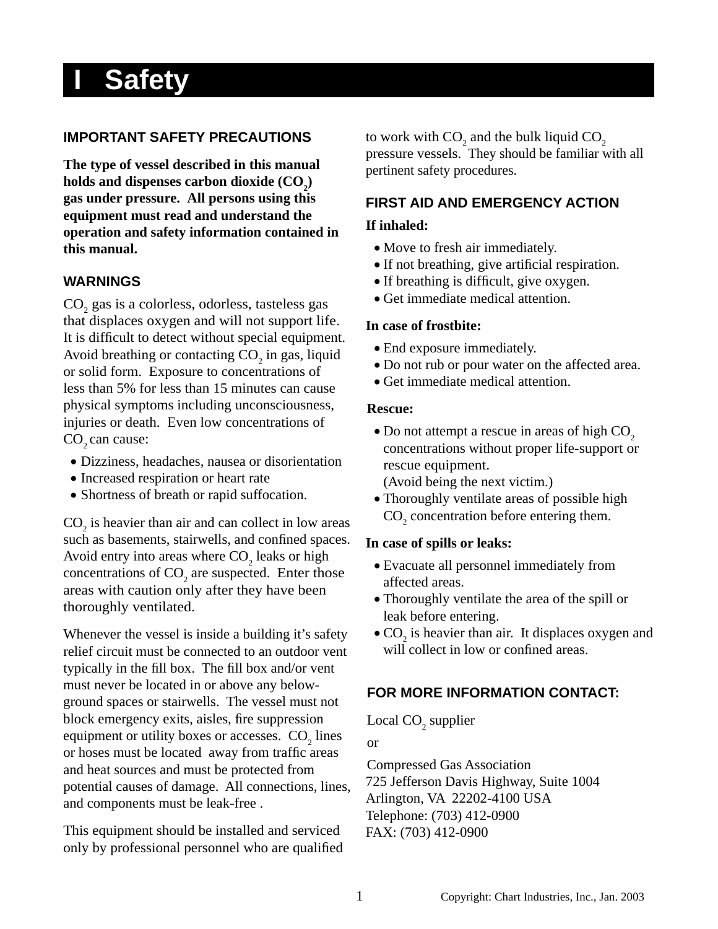## **I Safety**

### **IMPORTANT SAFETY PRECAUTIONS**

**The type of vessel described in this manual**  holds and dispenses carbon dioxide  $\text{(CO}_2\text{)}$ **gas under pressure. All persons using this equipment must read and understand the operation and safety information contained in this manual.**

### **WARNINGS**

 $\mathrm{CO}_2$ gas is a colorless, odorless, tasteless gas that displaces oxygen and will not support life. It is difficult to detect without special equipment. Avoid breathing or contacting  $CO<sub>2</sub>$  in gas, liquid or solid form. Exposure to concentrations of less than 5% for less than 15 minutes can cause physical symptoms including unconsciousness, injuries or death. Even low concentrations of  $CO$ , can cause:

- Dizziness, headaches, nausea or disorientation
- Increased respiration or heart rate
- Shortness of breath or rapid suffocation.

 $CO<sub>2</sub>$  is heavier than air and can collect in low areas such as basements, stairwells, and confined spaces. Avoid entry into areas where  $CO<sub>2</sub>$  leaks or high concentrations of  $CO<sub>2</sub>$  are suspected. Enter those areas with caution only after they have been thoroughly ventilated.

Whenever the vessel is inside a building it's safety relief circuit must be connected to an outdoor vent typically in the fill box. The fill box and/or vent must never be located in or above any belowground spaces or stairwells. The vessel must not block emergency exits, aisles, fire suppression equipment or utility boxes or accesses.  $CO<sub>2</sub>$  lines or hoses must be located away from traffic areas and heat sources and must be protected from potential causes of damage. All connections, lines, and components must be leak-free .

This equipment should be installed and serviced only by professional personnel who are qualified

to work with  $CO_2$  and the bulk liquid  $CO_2$ pressure vessels. They should be familiar with all pertinent safety procedures.

### **FIRST AID AND EMERGENCY ACTION**

#### **If inhaled:**

- Move to fresh air immediately.
- If not breathing, give artificial respiration.
- If breathing is difficult, give oxygen.
- Get immediate medical attention.

#### **In case of frostbite:**

- End exposure immediately.
- Do not rub or pour water on the affected area.
- Get immediate medical attention.

#### **Rescue:**

- $\bullet$  Do not attempt a rescue in areas of high CO<sub>2</sub> concentrations without proper life-support or rescue equipment.
	- (Avoid being the next victim.)
- Thoroughly ventilate areas of possible high  $\text{CO}_2$  concentration before entering them.

#### **In case of spills or leaks:**

- Evacuate all personnel immediately from affected areas.
- Thoroughly ventilate the area of the spill or leak before entering.
- $\bullet$  CO<sub>2</sub> is heavier than air. It displaces oxygen and will collect in low or confined areas.

### **FOR MORE INFORMATION CONTACT:**

Local  $CO<sub>2</sub>$  supplier

or

Compressed Gas Association 725 Jefferson Davis Highway, Suite 1004 Arlington, VA 22202-4100 USA Telephone: (703) 412-0900 FAX: (703) 412-0900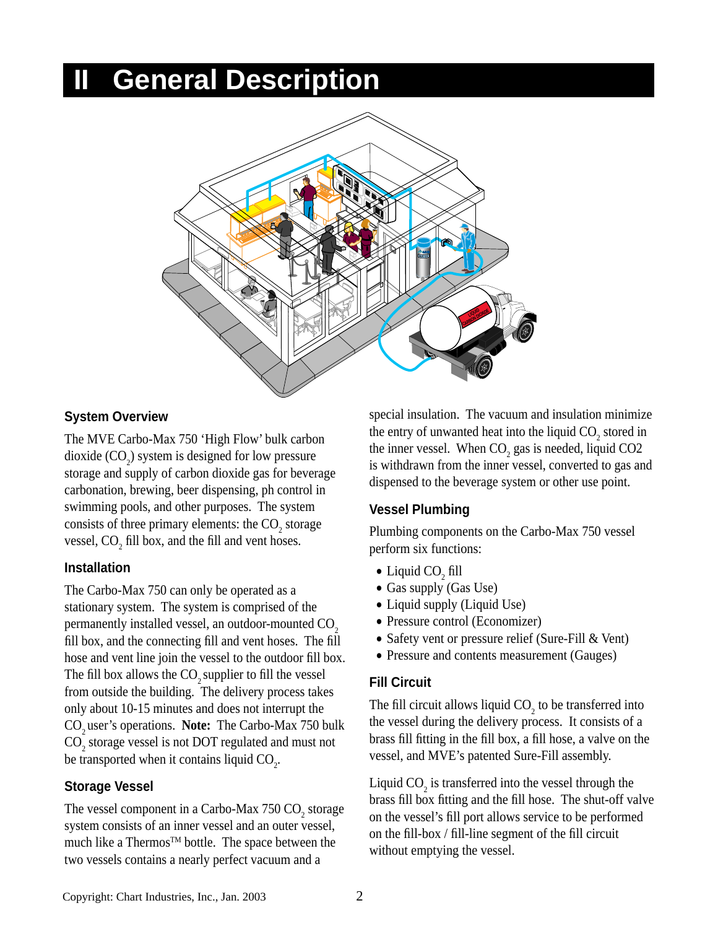## **II General Description**



#### **System Overview**

The MVE Carbo-Max 750 'High Flow' bulk carbon dioxide  $(CO_2)$  system is designed for low pressure storage and supply of carbon dioxide gas for beverage carbonation, brewing, beer dispensing, ph control in swimming pools, and other purposes. The system consists of three primary elements: the  $CO_2$  storage vessel,  $CO<sub>2</sub>$  fill box, and the fill and vent hoses.

#### **Installation**

The Carbo-Max 750 can only be operated as a stationary system. The system is comprised of the permanently installed vessel, an outdoor-mounted  $CO<sub>2</sub>$ fill box, and the connecting fill and vent hoses. The fill hose and vent line join the vessel to the outdoor fill box. The fill box allows the  $CO<sub>2</sub>$  supplier to fill the vessel from outside the building. The delivery process takes only about 10-15 minutes and does not interrupt the CO<sub>2</sub> user's operations. Note: The Carbo-Max 750 bulk  $\text{CO}_2$  storage vessel is not DOT regulated and must not be transported when it contains liquid  $CO_{2}$ .

### **Storage Vessel**

The vessel component in a Carbo-Max  $750 \text{ CO}_2$  storage system consists of an inner vessel and an outer vessel, much like a Thermos<sup>TM</sup> bottle. The space between the two vessels contains a nearly perfect vacuum and a

special insulation. The vacuum and insulation minimize the entry of unwanted heat into the liquid  $CO_2$  stored in the inner vessel. When  $CO_2$  gas is needed, liquid  $CO2$ is withdrawn from the inner vessel, converted to gas and dispensed to the beverage system or other use point.

### **Vessel Plumbing**

Plumbing components on the Carbo-Max 750 vessel perform six functions:

- Liquid CO<sub>2</sub> fill
- Gas supply (Gas Use)
- Liquid supply (Liquid Use)
- Pressure control (Economizer)
- Safety vent or pressure relief (Sure-Fill & Vent)
- Pressure and contents measurement (Gauges)

### **Fill Circuit**

The fill circuit allows liquid  $CO<sub>2</sub>$  to be transferred into the vessel during the delivery process. It consists of a brass fill fitting in the fill box, a fill hose, a valve on the vessel, and MVE's patented Sure-Fill assembly.

Liquid  $CO_2$  is transferred into the vessel through the brass fill box fitting and the fill hose. The shut-off valve on the vessel's fill port allows service to be performed on the fill-box  $/$  fill-line segment of the fill circuit without emptying the vessel.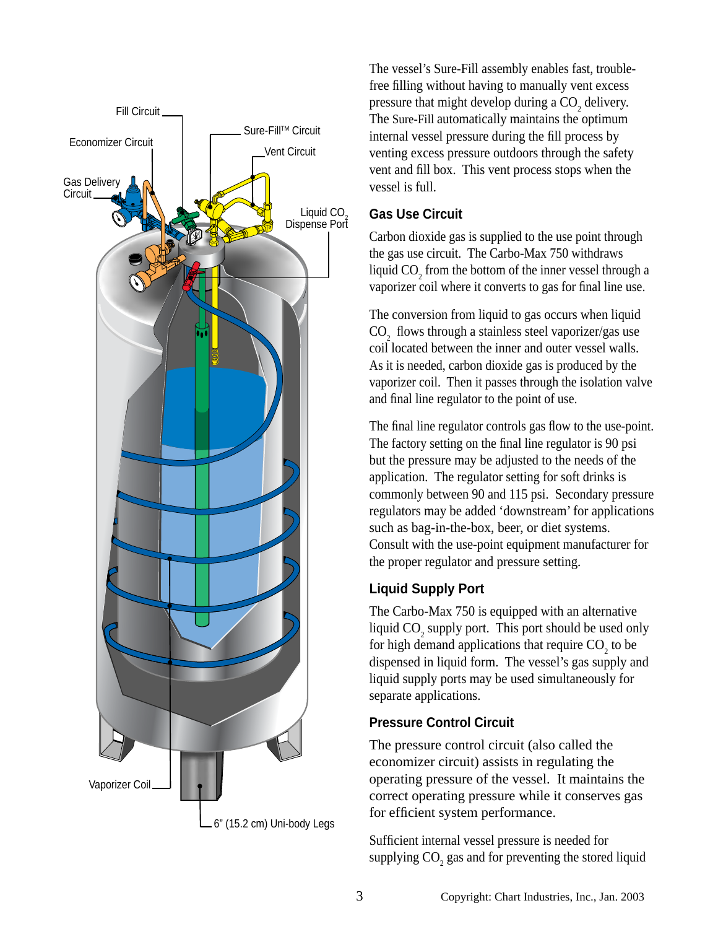

The vessel's Sure-Fill assembly enables fast, troublefree filling without having to manually vent excess pressure that might develop during a  $CO<sub>2</sub>$  delivery. The Sure-Fill automatically maintains the optimum internal vessel pressure during the fill process by venting excess pressure outdoors through the safety vent and fill box. This vent process stops when the vessel is full.

#### **Gas Use Circuit**

Carbon dioxide gas is supplied to the use point through the gas use circuit. The Carbo-Max 750 withdraws liquid  $CO_2$  from the bottom of the inner vessel through a vaporizer coil where it converts to gas for final line use.

The conversion from liquid to gas occurs when liquid  $\text{CO}_2$  flows through a stainless steel vaporizer/gas use coil located between the inner and outer vessel walls. As it is needed, carbon dioxide gas is produced by the vaporizer coil. Then it passes through the isolation valve and final line regulator to the point of use.

The final line regulator controls gas flow to the use-point. The factory setting on the final line regulator is 90 psi but the pressure may be adjusted to the needs of the application. The regulator setting for soft drinks is commonly between 90 and 115 psi. Secondary pressure regulators may be added 'downstream' for applications such as bag-in-the-box, beer, or diet systems. Consult with the use-point equipment manufacturer for the proper regulator and pressure setting.

## **Liquid Supply Port**

The Carbo-Max 750 is equipped with an alternative liquid  $CO_2$  supply port. This port should be used only for high demand applications that require  $CO<sub>2</sub>$  to be dispensed in liquid form. The vessel's gas supply and liquid supply ports may be used simultaneously for separate applications.

## **Pressure Control Circuit**

The pressure control circuit (also called the economizer circuit) assists in regulating the operating pressure of the vessel. It maintains the correct operating pressure while it conserves gas for efficient system performance.

Sufficient internal vessel pressure is needed for supplying  $CO<sub>2</sub>$  gas and for preventing the stored liquid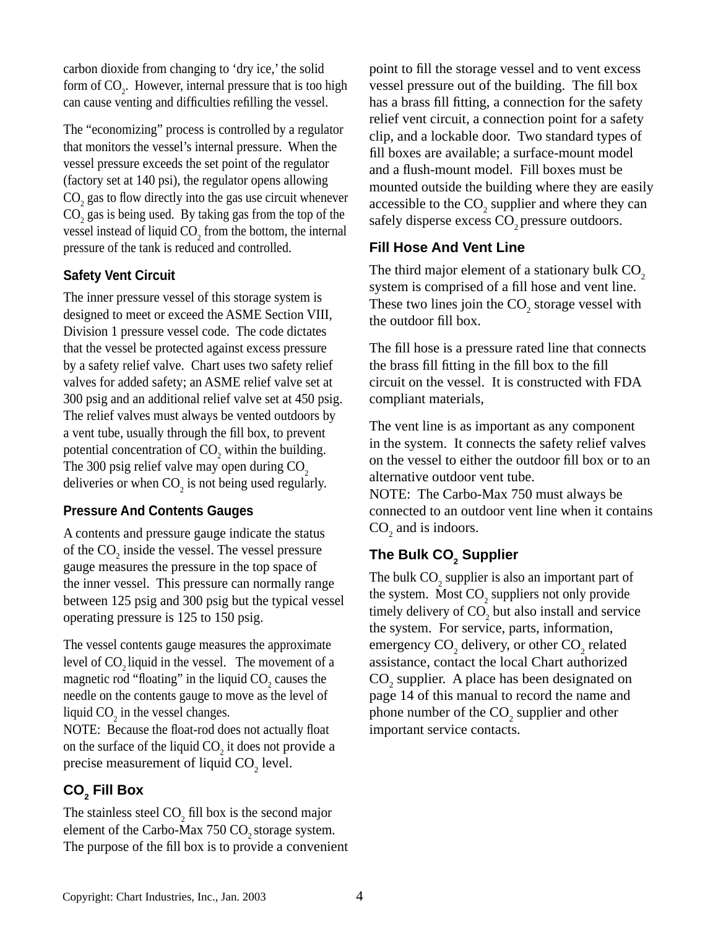carbon dioxide from changing to 'dry ice,' the solid form of  $CO<sub>2</sub>$ . However, internal pressure that is too high can cause venting and difficulties refilling the vessel.

The "economizing" process is controlled by a regulator that monitors the vessel's internal pressure. When the vessel pressure exceeds the set point of the regulator (factory set at 140 psi), the regulator opens allowing  $\text{CO}_2$  gas to flow directly into the gas use circuit whenever  $CO<sub>2</sub>$  gas is being used. By taking gas from the top of the vessel instead of liquid  $CO_2$  from the bottom, the internal pressure of the tank is reduced and controlled.

## **Safety Vent Circuit**

The inner pressure vessel of this storage system is designed to meet or exceed the ASME Section VIII, Division 1 pressure vessel code. The code dictates that the vessel be protected against excess pressure by a safety relief valve. Chart uses two safety relief valves for added safety; an ASME relief valve set at 300 psig and an additional relief valve set at 450 psig. The relief valves must always be vented outdoors by a vent tube, usually through the fill box, to prevent potential concentration of  $CO_2$  within the building. The 300 psig relief valve may open during  $CO<sub>2</sub>$ deliveries or when  $CO_2$  is not being used regularly.

## **Pressure And Contents Gauges**

A contents and pressure gauge indicate the status of the  $CO<sub>2</sub>$  inside the vessel. The vessel pressure gauge measures the pressure in the top space of the inner vessel. This pressure can normally range between 125 psig and 300 psig but the typical vessel operating pressure is 125 to 150 psig.

The vessel contents gauge measures the approximate level of  $CO<sub>2</sub>$  liquid in the vessel. The movement of a magnetic rod "floating" in the liquid  $CO_2$  causes the needle on the contents gauge to move as the level of liquid  $CO_2$  in the vessel changes.

NOTE: Because the float-rod does not actually float on the surface of the liquid  $CO_2$  it does not provide a precise measurement of liquid  $CO<sub>2</sub>$  level.

## **CO2 Fill Box**

The stainless steel  $CO<sub>2</sub>$  fill box is the second major element of the Carbo-Max  $750 \text{ CO}$ , storage system. The purpose of the fill box is to provide a convenient point to fill the storage vessel and to vent excess vessel pressure out of the building. The fill box has a brass fill fitting, a connection for the safety relief vent circuit, a connection point for a safety clip, and a lockable door. Two standard types of fill boxes are available; a surface-mount model and a flush-mount model. Fill boxes must be mounted outside the building where they are easily accessible to the  $CO_2$  supplier and where they can safely disperse excess CO<sub>2</sub> pressure outdoors.

## **Fill Hose And Vent Line**

The third major element of a stationary bulk  $CO<sub>2</sub>$ system is comprised of a fill hose and vent line. These two lines join the  $CO_2$  storage vessel with the outdoor fill box.

The fill hose is a pressure rated line that connects the brass fill fitting in the fill box to the fill circuit on the vessel. It is constructed with FDA compliant materials,

The vent line is as important as any component in the system. It connects the safety relief valves on the vessel to either the outdoor fill box or to an alternative outdoor vent tube.

NOTE: The Carbo-Max 750 must always be connected to an outdoor vent line when it contains  $CO<sub>2</sub>$  and is indoors.

## The Bulk CO<sub>2</sub> Supplier

The bulk  $\mathrm{CO}_2$  supplier is also an important part of the system. Most  $CO_2$  suppliers not only provide timely delivery of  $CO<sub>2</sub>$  but also install and service the system. For service, parts, information, emergency  $CO_2$  delivery, or other  $CO_2$  related assistance, contact the local Chart authorized  $CO<sub>2</sub>$  supplier. A place has been designated on page 14 of this manual to record the name and phone number of the  $CO_2$  supplier and other important service contacts.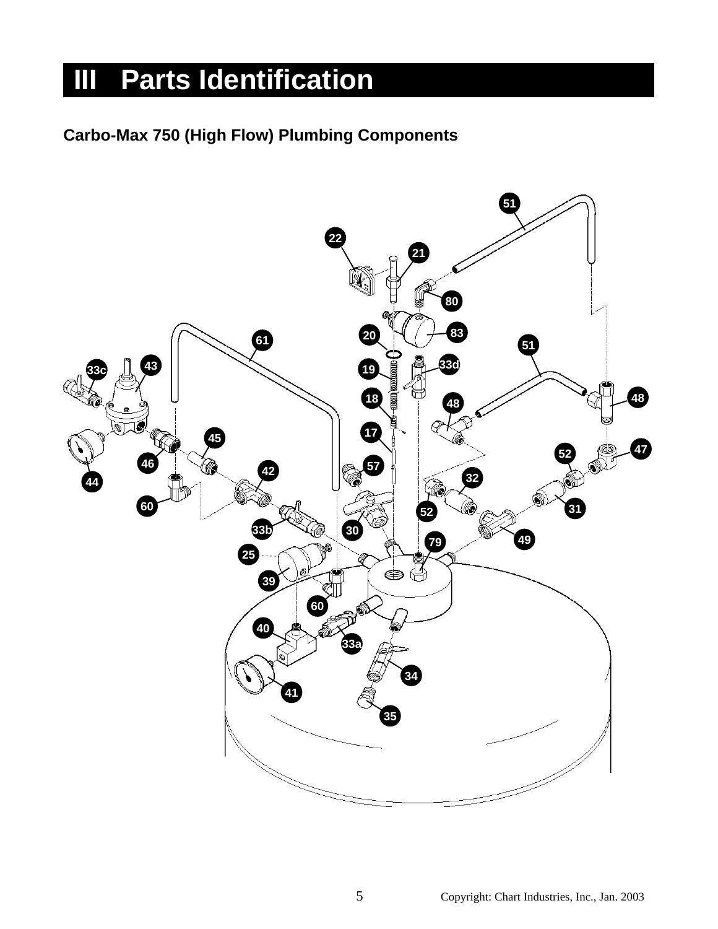## **III** Parts Identification

## **Carbo-Max 750 (High Flow) Plumbing Components**

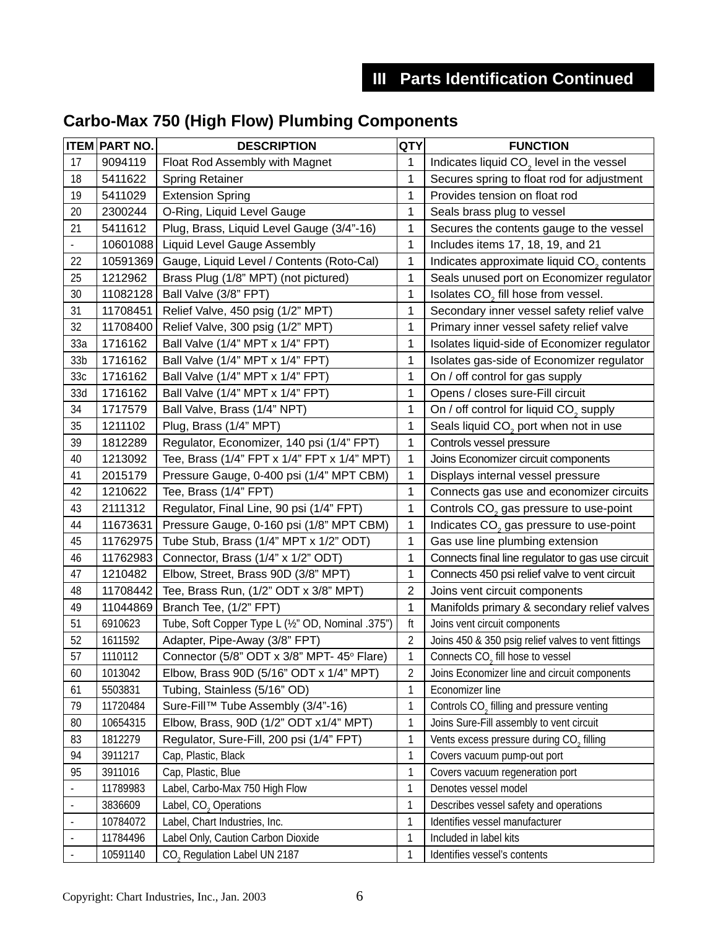|                              | <b>ITEM PART NO.</b> | <b>DESCRIPTION</b>                                | QTY            | <b>FUNCTION</b>                                       |  |
|------------------------------|----------------------|---------------------------------------------------|----------------|-------------------------------------------------------|--|
| 17                           | 9094119              | Float Rod Assembly with Magnet                    | 1              | Indicates liquid CO <sub>2</sub> level in the vessel  |  |
| 18                           | 5411622              | <b>Spring Retainer</b>                            | 1              | Secures spring to float rod for adjustment            |  |
| 19                           | 5411029              | <b>Extension Spring</b>                           | 1              | Provides tension on float rod                         |  |
| 20                           | 2300244              | O-Ring, Liquid Level Gauge                        | 1              | Seals brass plug to vessel                            |  |
| 21                           | 5411612              | Plug, Brass, Liquid Level Gauge (3/4"-16)         | 1              | Secures the contents gauge to the vessel              |  |
| ٠                            | 10601088             | <b>Liquid Level Gauge Assembly</b>                | 1              | Includes items 17, 18, 19, and 21                     |  |
| 22                           | 10591369             | Gauge, Liquid Level / Contents (Roto-Cal)         | 1              | Indicates approximate liquid CO <sub>2</sub> contents |  |
| 25                           | 1212962              | Brass Plug (1/8" MPT) (not pictured)              | 1              | Seals unused port on Economizer regulator             |  |
| 30                           | 11082128             | Ball Valve (3/8" FPT)                             | 1              | Isolates CO <sub>2</sub> fill hose from vessel.       |  |
| 31                           | 11708451             | Relief Valve, 450 psig (1/2" MPT)                 | 1              | Secondary inner vessel safety relief valve            |  |
| 32                           | 11708400             | Relief Valve, 300 psig (1/2" MPT)                 | 1              | Primary inner vessel safety relief valve              |  |
| 33a                          | 1716162              | Ball Valve (1/4" MPT x 1/4" FPT)                  | 1              | Isolates liquid-side of Economizer regulator          |  |
| 33 <sub>b</sub>              | 1716162              | Ball Valve (1/4" MPT x 1/4" FPT)                  | 1              | Isolates gas-side of Economizer regulator             |  |
| 33c                          | 1716162              | Ball Valve (1/4" MPT x 1/4" FPT)                  | 1              | On / off control for gas supply                       |  |
| 33d                          | 1716162              | Ball Valve (1/4" MPT x 1/4" FPT)                  | 1              | Opens / closes sure-Fill circuit                      |  |
| 34                           | 1717579              | Ball Valve, Brass (1/4" NPT)                      | 1              | On / off control for liquid CO <sub>2</sub> supply    |  |
| 35                           | 1211102              | Plug, Brass (1/4" MPT)                            | 1              | Seals liquid CO <sub>2</sub> port when not in use     |  |
| 39                           | 1812289              | Regulator, Economizer, 140 psi (1/4" FPT)         | 1              | Controls vessel pressure                              |  |
| 40                           | 1213092              | Tee, Brass (1/4" FPT x 1/4" FPT x 1/4" MPT)       | 1              | Joins Economizer circuit components                   |  |
| 41                           | 2015179              | Pressure Gauge, 0-400 psi (1/4" MPT CBM)          | 1              | Displays internal vessel pressure                     |  |
| 42                           | 1210622              | Tee, Brass (1/4" FPT)                             | 1              | Connects gas use and economizer circuits              |  |
| 43                           | 2111312              | Regulator, Final Line, 90 psi (1/4" FPT)          | 1              | Controls CO <sub>2</sub> gas pressure to use-point    |  |
| 44                           | 11673631             | Pressure Gauge, 0-160 psi (1/8" MPT CBM)          | 1              | Indicates CO <sub>2</sub> gas pressure to use-point   |  |
| 45                           | 11762975             | Tube Stub, Brass (1/4" MPT x 1/2" ODT)            | 1              | Gas use line plumbing extension                       |  |
| 46                           | 11762983             | Connector, Brass (1/4" x 1/2" ODT)                | 1              | Connects final line regulator to gas use circuit      |  |
| 47                           | 1210482              | Elbow, Street, Brass 90D (3/8" MPT)               | 1              | Connects 450 psi relief valve to vent circuit         |  |
| 48                           | 11708442             | Tee, Brass Run, (1/2" ODT x 3/8" MPT)             | $\overline{2}$ | Joins vent circuit components                         |  |
| 49                           | 11044869             | Branch Tee, (1/2" FPT)                            | 1              | Manifolds primary & secondary relief valves           |  |
| 51                           | 6910623              | Tube, Soft Copper Type L (1/2" OD, Nominal .375") | ft             | Joins vent circuit components                         |  |
| 52                           | 1611592              | Adapter, Pipe-Away (3/8" FPT)                     | 2              | Joins 450 & 350 psig relief valves to vent fittings   |  |
| 57                           | 1110112              | Connector (5/8" ODT x 3/8" MPT- 45° Flare)        | 1              | Connects CO <sub>2</sub> fill hose to vessel          |  |
| 60                           | 1013042              | Elbow, Brass 90D (5/16" ODT x 1/4" MPT)           | 2              | Joins Economizer line and circuit components          |  |
| 61                           | 5503831              | Tubing, Stainless (5/16" OD)                      | 1              | Economizer line                                       |  |
| 79                           | 11720484             | Sure-Fill™ Tube Assembly (3/4"-16)                | 1              | Controls CO <sub>2</sub> filling and pressure venting |  |
| 80                           | 10654315             | Elbow, Brass, 90D (1/2" ODT x1/4" MPT)            | 1              | Joins Sure-Fill assembly to vent circuit              |  |
| 83                           | 1812279              | Regulator, Sure-Fill, 200 psi (1/4" FPT)          | 1              | Vents excess pressure during CO <sub>2</sub> filling  |  |
| 94                           | 3911217              | Cap, Plastic, Black                               | 1              | Covers vacuum pump-out port                           |  |
| 95                           | 3911016              | Cap, Plastic, Blue                                | 1              | Covers vacuum regeneration port                       |  |
|                              | 11789983             | Label, Carbo-Max 750 High Flow                    | 1              | Denotes vessel model                                  |  |
| $\blacksquare$               | 3836609              | Label, CO <sub>2</sub> Operations                 | 1              | Describes vessel safety and operations                |  |
| $\qquad \qquad \blacksquare$ | 10784072             | Label, Chart Industries, Inc.                     | 1              | Identifies vessel manufacturer                        |  |
|                              | 11784496             | Label Only, Caution Carbon Dioxide                | 1              | Included in label kits                                |  |
|                              | 10591140             | CO <sub>2</sub> Regulation Label UN 2187          | 1              | Identifies vessel's contents                          |  |

## **Carbo-Max 750 (High Flow) Plumbing Components**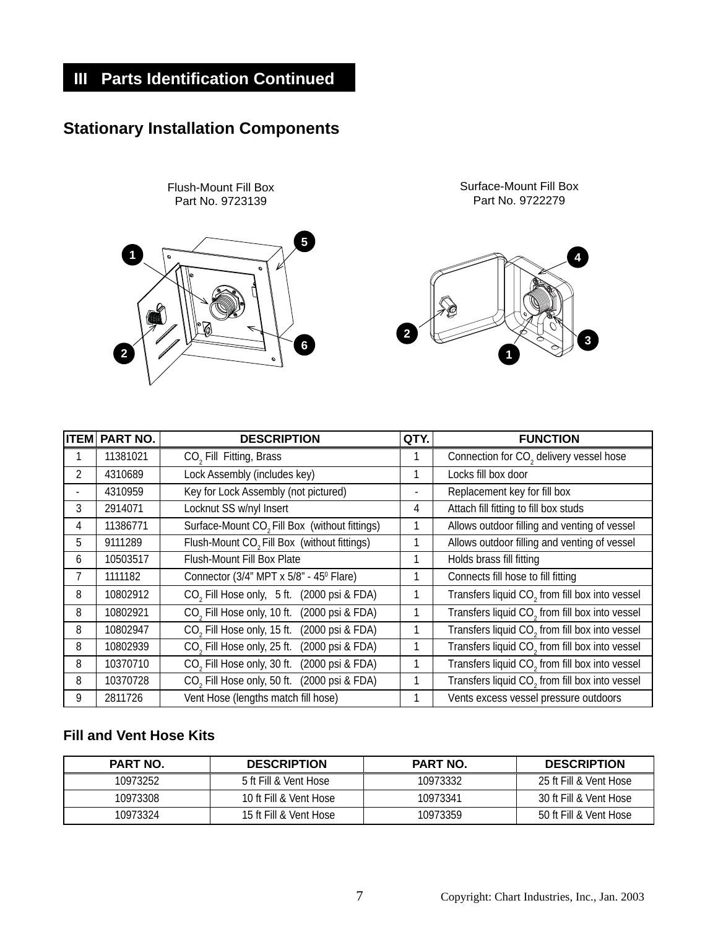## **III** Parts Identification Continued

## **Stationary Installation Components**



| <b>ITEM</b>    | PART NO. | <b>DESCRIPTION</b>                                         | QTY. | <b>FUNCTION</b>                                            |
|----------------|----------|------------------------------------------------------------|------|------------------------------------------------------------|
|                | 11381021 | CO <sub>2</sub> Fill Fitting, Brass                        |      | Connection for CO <sub>2</sub> delivery vessel hose        |
| $\overline{2}$ | 4310689  | Lock Assembly (includes key)                               |      | Locks fill box door                                        |
|                | 4310959  | Key for Lock Assembly (not pictured)                       |      | Replacement key for fill box                               |
| 3              | 2914071  | Locknut SS w/nyl Insert                                    | 4    | Attach fill fitting to fill box studs                      |
| 4              | 11386771 | Surface-Mount CO <sub>2</sub> Fill Box (without fittings)  | 1    | Allows outdoor filling and venting of vessel               |
| 5              | 9111289  | Flush-Mount CO <sub>2</sub> Fill Box (without fittings)    | 1    | Allows outdoor filling and venting of vessel               |
| 6              | 10503517 | Flush-Mount Fill Box Plate                                 |      | Holds brass fill fitting                                   |
| 7              | 1111182  | Connector (3/4" MPT x 5/8" - 45° Flare)                    | 1    | Connects fill hose to fill fitting                         |
| 8              | 10802912 | CO <sub>2</sub> Fill Hose only, 5 ft. (2000 psi & FDA)     | 1    | Transfers liquid CO <sub>2</sub> from fill box into vessel |
| 8              | 10802921 | CO <sub>2</sub> Fill Hose only, 10 ft.<br>(2000 psi & FDA) | 1    | Transfers liquid CO <sub>2</sub> from fill box into vessel |
| 8              | 10802947 | CO <sub>2</sub> Fill Hose only, 15 ft. (2000 psi & FDA)    | 1    | Transfers liquid CO <sub>2</sub> from fill box into vessel |
| 8              | 10802939 | CO <sub>2</sub> Fill Hose only, 25 ft. (2000 psi & FDA)    |      | Transfers liquid CO <sub>2</sub> from fill box into vessel |
| 8              | 10370710 | CO <sub>2</sub> Fill Hose only, 30 ft.<br>(2000 psi & FDA) | 1    | Transfers liquid CO <sub>2</sub> from fill box into vessel |
| 8              | 10370728 | CO <sub>2</sub> Fill Hose only, 50 ft. (2000 psi & FDA)    | 1    | Transfers liquid CO <sub>2</sub> from fill box into vessel |
| 9              | 2811726  | Vent Hose (lengths match fill hose)                        | 1    | Vents excess vessel pressure outdoors                      |

#### **Fill and Vent Hose Kits**

| <b>PART NO.</b> | <b>DESCRIPTION</b>     | <b>PART NO.</b> | <b>DESCRIPTION</b>     |
|-----------------|------------------------|-----------------|------------------------|
| 10973252        | 5 ft Fill & Vent Hose  | 10973332        | 25 ft Fill & Vent Hose |
| 10973308        | 10 ft Fill & Vent Hose | 10973341        | 30 ft Fill & Vent Hose |
| 10973324        | 15 ft Fill & Vent Hose | 10973359        | 50 ft Fill & Vent Hose |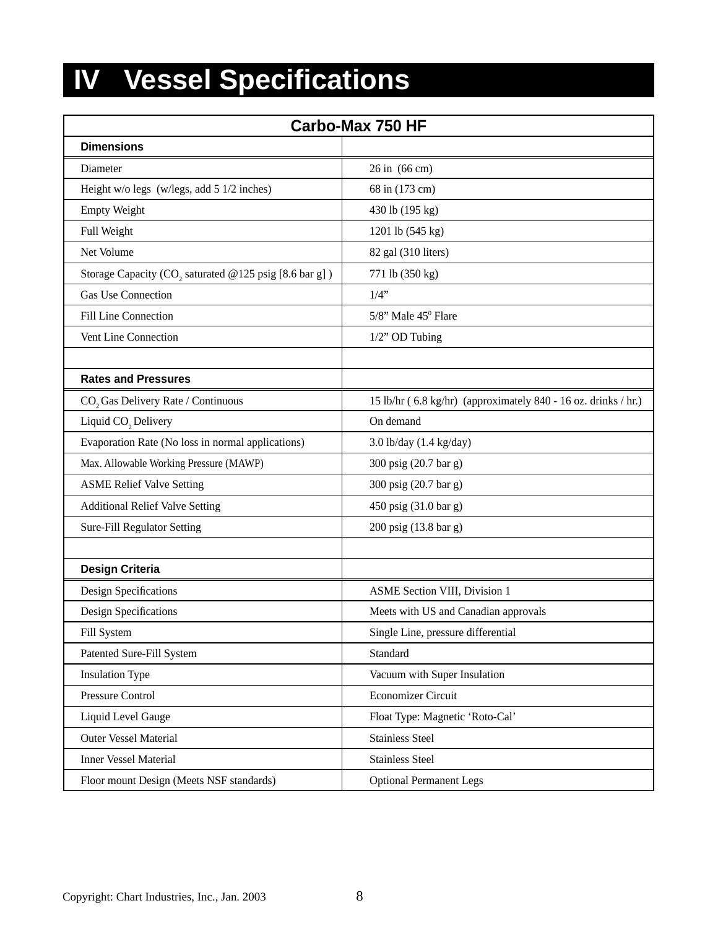## **IV** Vessel Specifications

| <b>Carbo-Max 750 HF</b>                                            |                                                                |  |  |
|--------------------------------------------------------------------|----------------------------------------------------------------|--|--|
| <b>Dimensions</b>                                                  |                                                                |  |  |
| Diameter                                                           | 26 in (66 cm)                                                  |  |  |
| Height w/o legs (w/legs, add 5 1/2 inches)                         | 68 in (173 cm)                                                 |  |  |
| <b>Empty Weight</b>                                                | 430 lb (195 kg)                                                |  |  |
| Full Weight                                                        | 1201 lb (545 kg)                                               |  |  |
| Net Volume                                                         | 82 gal (310 liters)                                            |  |  |
| Storage Capacity (CO <sub>2</sub> saturated @125 psig [8.6 bar g]) | 771 lb (350 kg)                                                |  |  |
| <b>Gas Use Connection</b>                                          | $1/4$ "                                                        |  |  |
| Fill Line Connection                                               | 5/8" Male 45 <sup>0</sup> Flare                                |  |  |
| Vent Line Connection                                               | 1/2" OD Tubing                                                 |  |  |
|                                                                    |                                                                |  |  |
| <b>Rates and Pressures</b>                                         |                                                                |  |  |
| CO <sub>2</sub> Gas Delivery Rate / Continuous                     | 15 lb/hr (6.8 kg/hr) (approximately 840 - 16 oz. drinks / hr.) |  |  |
| Liquid CO <sub>2</sub> Delivery                                    | On demand                                                      |  |  |
| Evaporation Rate (No loss in normal applications)                  | 3.0 lb/day (1.4 kg/day)                                        |  |  |
| Max. Allowable Working Pressure (MAWP)                             | 300 psig (20.7 bar g)                                          |  |  |
| <b>ASME Relief Valve Setting</b>                                   | 300 psig (20.7 bar g)                                          |  |  |
| <b>Additional Relief Valve Setting</b>                             | 450 psig (31.0 bar g)                                          |  |  |
| Sure-Fill Regulator Setting                                        | 200 psig (13.8 bar g)                                          |  |  |
|                                                                    |                                                                |  |  |
| <b>Design Criteria</b>                                             |                                                                |  |  |
| Design Specifications                                              | <b>ASME Section VIII, Division 1</b>                           |  |  |
| <b>Design Specifications</b>                                       | Meets with US and Canadian approvals                           |  |  |
| Fill System                                                        | Single Line, pressure differential                             |  |  |
| Patented Sure-Fill System                                          | Standard                                                       |  |  |
| <b>Insulation Type</b>                                             | Vacuum with Super Insulation                                   |  |  |
| Pressure Control                                                   | Economizer Circuit                                             |  |  |
| Liquid Level Gauge                                                 | Float Type: Magnetic 'Roto-Cal'                                |  |  |
| Outer Vessel Material                                              | <b>Stainless Steel</b>                                         |  |  |
| <b>Inner Vessel Material</b>                                       | <b>Stainless Steel</b>                                         |  |  |
| Floor mount Design (Meets NSF standards)                           | <b>Optional Permanent Legs</b>                                 |  |  |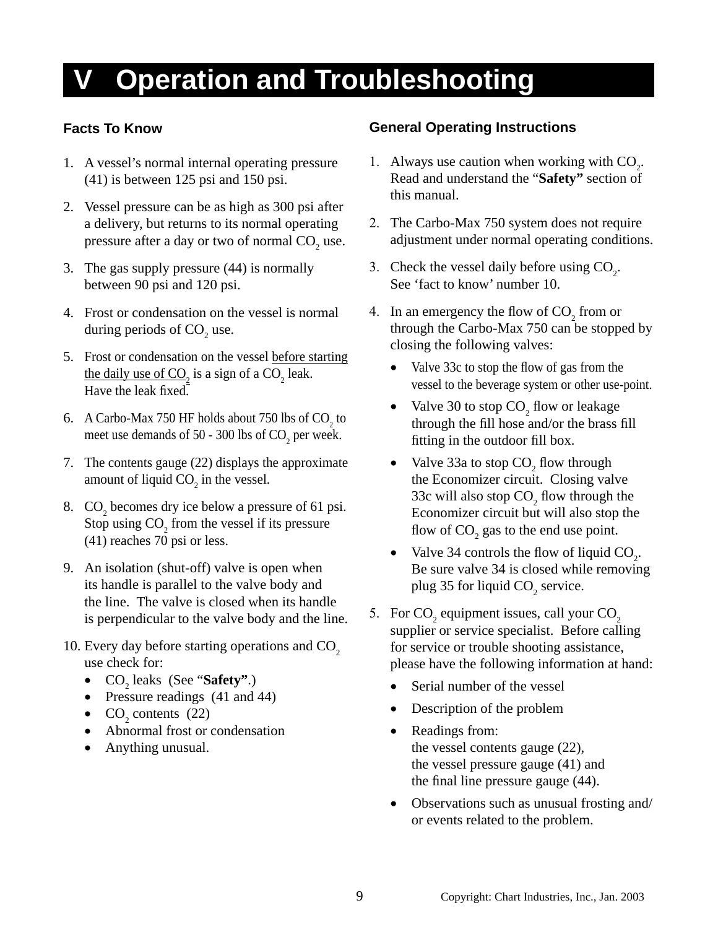## **Operation and Troubleshooting**

### **Facts To Know**

- 1. A vessel's normal internal operating pressure (41) is between 125 psi and 150 psi.
- 2. Vessel pressure can be as high as 300 psi after a delivery, but returns to its normal operating pressure after a day or two of normal  $\mathrm{CO}_2$  use.
- 3. The gas supply pressure (44) is normally between 90 psi and 120 psi.
- 4. Frost or condensation on the vessel is normal during periods of  $CO<sub>2</sub>$  use.
- 5. Frost or condensation on the vessel before starting the daily use of  $CO_2$  is a sign of a  $CO_2$  leak. Have the leak fixed.
- 6. A Carbo-Max 750 HF holds about 750 lbs of  $CO<sub>2</sub>$  to meet use demands of 50 - 300 lbs of  $CO<sub>2</sub>$  per week.
- 7. The contents gauge (22) displays the approximate amount of liquid  $CO_2$  in the vessel.
- 8.  $CO<sub>2</sub>$  becomes dry ice below a pressure of 61 psi. Stop using  $CO_2$  from the vessel if its pressure (41) reaches 70 psi or less.
- 9. An isolation (shut-off) valve is open when its handle is parallel to the valve body and the line. The valve is closed when its handle is perpendicular to the valve body and the line.
- 10. Every day before starting operations and  $CO<sub>2</sub>$ use check for:
	- CO<sub>2</sub> leaks (See "**Safety"**.)
	- Pressure readings (41 and 44)
	- $CO<sub>2</sub>$  contents (22)
	- Abnormal frost or condensation
	- Anything unusual.

### **General Operating Instructions**

- 1. Always use caution when working with  $CO<sub>2</sub>$ . Read and understand the "**Safety"** section of this manual.
- 2. The Carbo-Max 750 system does not require adjustment under normal operating conditions.
- 3. Check the vessel daily before using  $CO<sub>2</sub>$ . See 'fact to know' number 10.
- 4. In an emergency the flow of  $CO_2$  from or through the Carbo-Max 750 can be stopped by closing the following valves:
	- Valve 33c to stop the flow of gas from the vessel to the beverage system or other use-point.
	- Valve 30 to stop  $CO<sub>2</sub>$  flow or leakage through the fill hose and/or the brass fill fitting in the outdoor fill box.
	- Valve 33a to stop  $CO$ , flow through the Economizer circuit. Closing valve 33c will also stop  $CO<sub>2</sub>$  flow through the Economizer circuit but will also stop the flow of  $CO<sub>2</sub>$  gas to the end use point.
	- Valve 34 controls the flow of liquid  $CO_2$ . Be sure valve 34 is closed while removing plug 35 for liquid  $CO<sub>2</sub>$  service.
- 5. For  $CO_2$  equipment issues, call your  $CO_2$ supplier or service specialist. Before calling for service or trouble shooting assistance, please have the following information at hand:
	- Serial number of the vessel
	- Description of the problem
	- Readings from: the vessel contents gauge (22), the vessel pressure gauge (41) and the final line pressure gauge  $(44)$ .
	- Observations such as unusual frosting and/ or events related to the problem.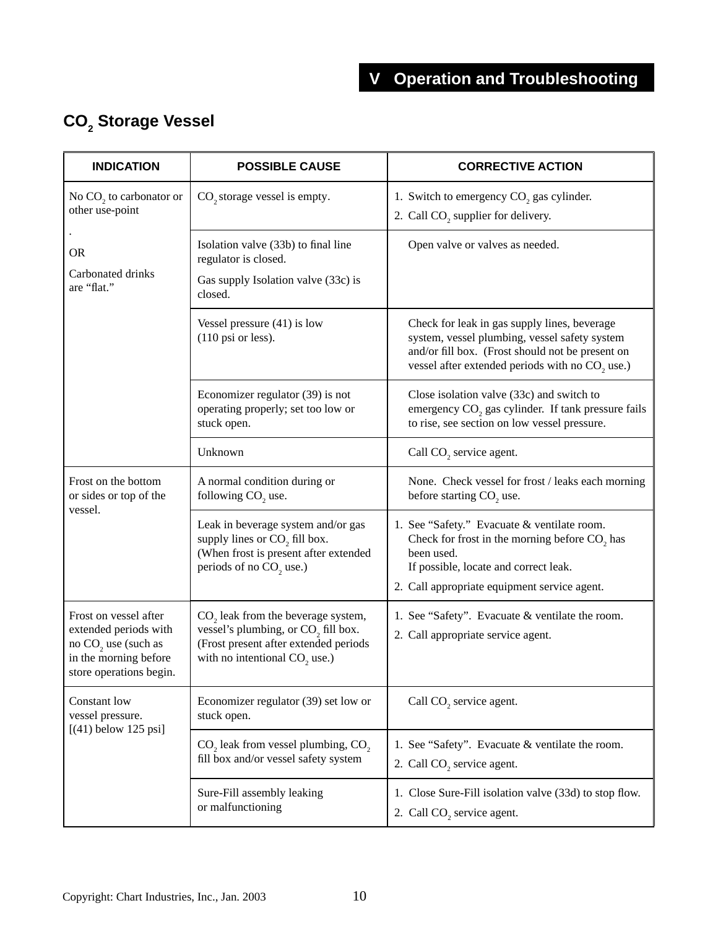## **CO2 Storage Vessel**

| <b>INDICATION</b>                                                                                                                     | <b>POSSIBLE CAUSE</b>                                                                                                                                                                   | <b>CORRECTIVE ACTION</b>                                                                                                                                                                               |  |
|---------------------------------------------------------------------------------------------------------------------------------------|-----------------------------------------------------------------------------------------------------------------------------------------------------------------------------------------|--------------------------------------------------------------------------------------------------------------------------------------------------------------------------------------------------------|--|
| No $CO2$ to carbonator or<br>other use-point                                                                                          | CO <sub>2</sub> storage vessel is empty.                                                                                                                                                | 1. Switch to emergency CO <sub>2</sub> gas cylinder.<br>2. Call $CO2$ supplier for delivery.                                                                                                           |  |
| <b>OR</b><br>Carbonated drinks<br>are "flat."                                                                                         | Isolation valve (33b) to final line<br>regulator is closed.<br>Gas supply Isolation valve (33c) is<br>closed.                                                                           | Open valve or valves as needed.                                                                                                                                                                        |  |
|                                                                                                                                       | Vessel pressure $(41)$ is low<br>$(110 \text{ psi or less}).$                                                                                                                           | Check for leak in gas supply lines, beverage<br>system, vessel plumbing, vessel safety system<br>and/or fill box. (Frost should not be present on<br>vessel after extended periods with no $CO2$ use.) |  |
|                                                                                                                                       | Economizer regulator (39) is not<br>operating properly; set too low or<br>stuck open.                                                                                                   | Close isolation valve (33c) and switch to<br>emergency CO <sub>2</sub> gas cylinder. If tank pressure fails<br>to rise, see section on low vessel pressure.                                            |  |
|                                                                                                                                       | Unknown                                                                                                                                                                                 | Call CO <sub>2</sub> service agent.                                                                                                                                                                    |  |
| Frost on the bottom<br>or sides or top of the<br>vessel.                                                                              | A normal condition during or<br>following CO <sub>2</sub> use.                                                                                                                          | None. Check vessel for frost / leaks each morning<br>before starting $CO2$ use.                                                                                                                        |  |
|                                                                                                                                       | Leak in beverage system and/or gas<br>supply lines or $CO2$ fill box.<br>(When frost is present after extended<br>periods of no CO <sub>2</sub> use.)                                   | 1. See "Safety." Evacuate & ventilate room.<br>Check for frost in the morning before $CO2$ has<br>been used.<br>If possible, locate and correct leak.<br>2. Call appropriate equipment service agent.  |  |
| Frost on vessel after<br>extended periods with<br>no CO <sub>2</sub> use (such as<br>in the morning before<br>store operations begin. | CO <sub>2</sub> leak from the beverage system,<br>vessel's plumbing, or CO <sub>2</sub> fill box.<br>(Frost present after extended periods<br>with no intentional CO <sub>2</sub> use.) | 1. See "Safety". Evacuate & ventilate the room.<br>2. Call appropriate service agent.                                                                                                                  |  |
| Constant low<br>vessel pressure.                                                                                                      | Economizer regulator (39) set low or<br>stuck open.                                                                                                                                     | Call CO <sub>2</sub> service agent.                                                                                                                                                                    |  |
| $[(41)$ below 125 psi]                                                                                                                | $CO2$ leak from vessel plumbing, $CO2$ ,<br>fill box and/or vessel safety system                                                                                                        | 1. See "Safety". Evacuate & ventilate the room.<br>2. Call CO <sub>2</sub> service agent.                                                                                                              |  |
|                                                                                                                                       | Sure-Fill assembly leaking<br>or malfunctioning                                                                                                                                         | 1. Close Sure-Fill isolation valve (33d) to stop flow.<br>2. Call CO <sub>2</sub> service agent.                                                                                                       |  |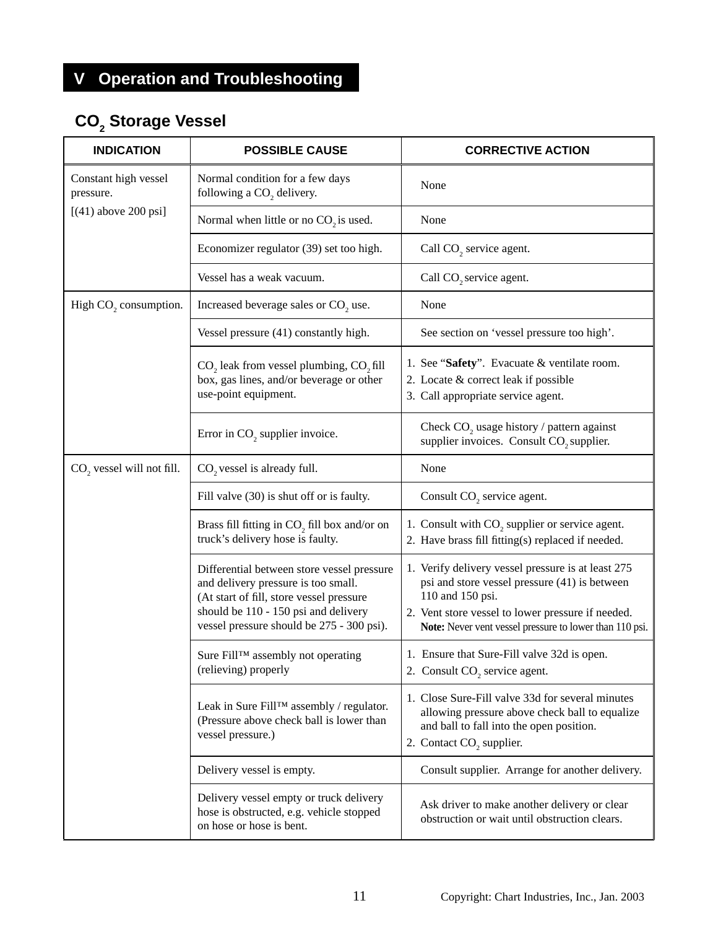## **V Operation and Troubleshooting**

## **CO2 Storage Vessel**

| <b>INDICATION</b>                     | <b>POSSIBLE CAUSE</b>                                                                                                                                                                                              | <b>CORRECTIVE ACTION</b>                                                                                                                                                                                                                |  |
|---------------------------------------|--------------------------------------------------------------------------------------------------------------------------------------------------------------------------------------------------------------------|-----------------------------------------------------------------------------------------------------------------------------------------------------------------------------------------------------------------------------------------|--|
| Constant high vessel<br>pressure.     | Normal condition for a few days<br>following a CO <sub>2</sub> delivery.                                                                                                                                           | None                                                                                                                                                                                                                                    |  |
| $[(41)$ above 200 psi]                | Normal when little or no $CO2$ is used.                                                                                                                                                                            | None                                                                                                                                                                                                                                    |  |
|                                       | Economizer regulator (39) set too high.                                                                                                                                                                            | Call CO <sub>2</sub> service agent.                                                                                                                                                                                                     |  |
|                                       | Vessel has a weak vacuum.                                                                                                                                                                                          | Call CO <sub>2</sub> service agent.                                                                                                                                                                                                     |  |
| High CO <sub>2</sub> consumption.     | Increased beverage sales or CO <sub>2</sub> use.                                                                                                                                                                   | None                                                                                                                                                                                                                                    |  |
|                                       | Vessel pressure (41) constantly high.                                                                                                                                                                              | See section on 'vessel pressure too high'.                                                                                                                                                                                              |  |
|                                       | CO <sub>2</sub> leak from vessel plumbing, CO <sub>2</sub> fill<br>box, gas lines, and/or beverage or other<br>use-point equipment.                                                                                | 1. See "Safety". Evacuate & ventilate room.<br>2. Locate & correct leak if possible<br>3. Call appropriate service agent.                                                                                                               |  |
|                                       | Error in CO <sub>2</sub> supplier invoice.                                                                                                                                                                         | Check CO <sub>2</sub> usage history / pattern against<br>supplier invoices. Consult CO <sub>2</sub> supplier.                                                                                                                           |  |
| CO <sub>2</sub> vessel will not fill. | CO <sub>2</sub> vessel is already full.                                                                                                                                                                            | None                                                                                                                                                                                                                                    |  |
|                                       | Fill valve (30) is shut off or is faulty.                                                                                                                                                                          | Consult CO <sub>2</sub> service agent.                                                                                                                                                                                                  |  |
|                                       | Brass fill fitting in CO <sub>2</sub> fill box and/or on<br>truck's delivery hose is faulty.                                                                                                                       | 1. Consult with CO <sub>2</sub> supplier or service agent.<br>2. Have brass fill fitting(s) replaced if needed.                                                                                                                         |  |
|                                       | Differential between store vessel pressure<br>and delivery pressure is too small.<br>(At start of fill, store vessel pressure<br>should be 110 - 150 psi and delivery<br>vessel pressure should be 275 - 300 psi). | 1. Verify delivery vessel pressure is at least 275<br>psi and store vessel pressure (41) is between<br>110 and 150 psi.<br>2. Vent store vessel to lower pressure if needed.<br>Note: Never vent vessel pressure to lower than 110 psi. |  |
|                                       | Sure Fill™ assembly not operating<br>(relieving) properly                                                                                                                                                          | 1. Ensure that Sure-Fill valve 32d is open.<br>2. Consult CO <sub>2</sub> service agent.                                                                                                                                                |  |
|                                       | Leak in Sure Fill <sup>TM</sup> assembly / regulator.<br>(Pressure above check ball is lower than<br>vessel pressure.)                                                                                             | 1. Close Sure-Fill valve 33d for several minutes<br>allowing pressure above check ball to equalize<br>and ball to fall into the open position.<br>2. Contact CO <sub>2</sub> supplier.                                                  |  |
|                                       | Delivery vessel is empty.                                                                                                                                                                                          | Consult supplier. Arrange for another delivery.                                                                                                                                                                                         |  |
|                                       | Delivery vessel empty or truck delivery<br>hose is obstructed, e.g. vehicle stopped<br>on hose or hose is bent.                                                                                                    | Ask driver to make another delivery or clear<br>obstruction or wait until obstruction clears.                                                                                                                                           |  |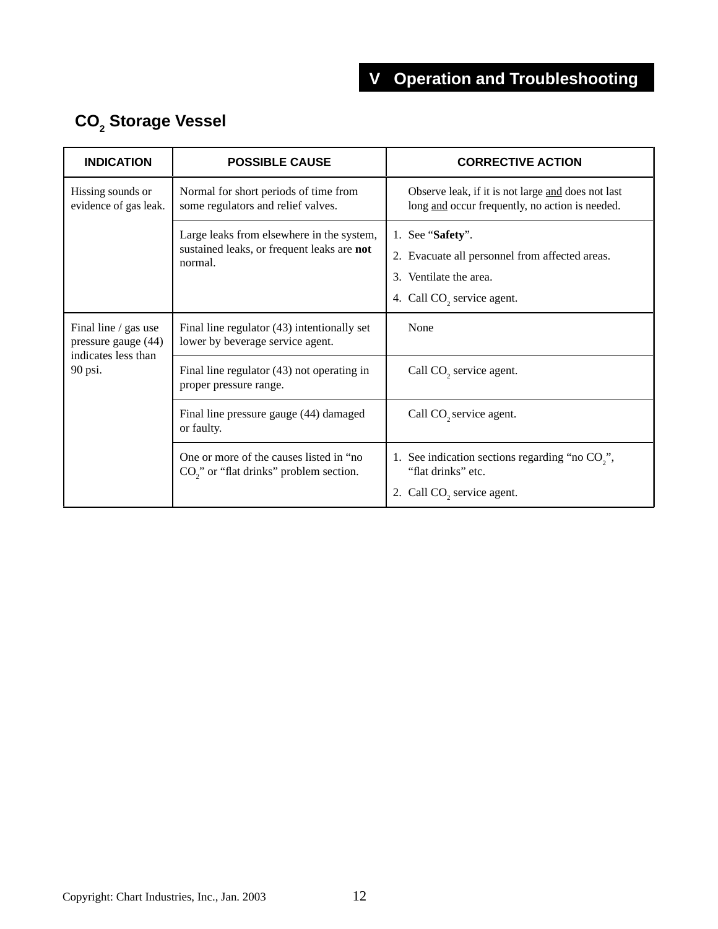| <b>INDICATION</b>                                                  | <b>POSSIBLE CAUSE</b>                                                                              | <b>CORRECTIVE ACTION</b>                                                                                                               |  |
|--------------------------------------------------------------------|----------------------------------------------------------------------------------------------------|----------------------------------------------------------------------------------------------------------------------------------------|--|
| Hissing sounds or<br>evidence of gas leak.                         | Normal for short periods of time from<br>some regulators and relief valves.                        | Observe leak, if it is not large and does not last<br>long and occur frequently, no action is needed.                                  |  |
|                                                                    | Large leaks from elsewhere in the system,<br>sustained leaks, or frequent leaks are not<br>normal. | 1. See "Safety".<br>2. Evacuate all personnel from affected areas.<br>3. Ventilate the area.<br>4. Call CO <sub>2</sub> service agent. |  |
| Final line / gas use<br>pressure gauge (44)<br>indicates less than | Final line regulator (43) intentionally set<br>lower by beverage service agent.                    | None                                                                                                                                   |  |
| 90 psi.                                                            | Final line regulator $(43)$ not operating in<br>proper pressure range.                             | Call CO <sub>2</sub> service agent.                                                                                                    |  |
|                                                                    | Final line pressure gauge (44) damaged<br>or faulty.                                               | Call CO <sub>2</sub> service agent.                                                                                                    |  |
|                                                                    | One or more of the causes listed in "no<br>CO <sub>2</sub> " or "flat drinks" problem section.     | 1. See indication sections regarding "no CO <sub>2</sub> ",<br>"flat drinks" etc.<br>2. Call CO <sub>2</sub> service agent.            |  |

## **CO2 Storage Vessel**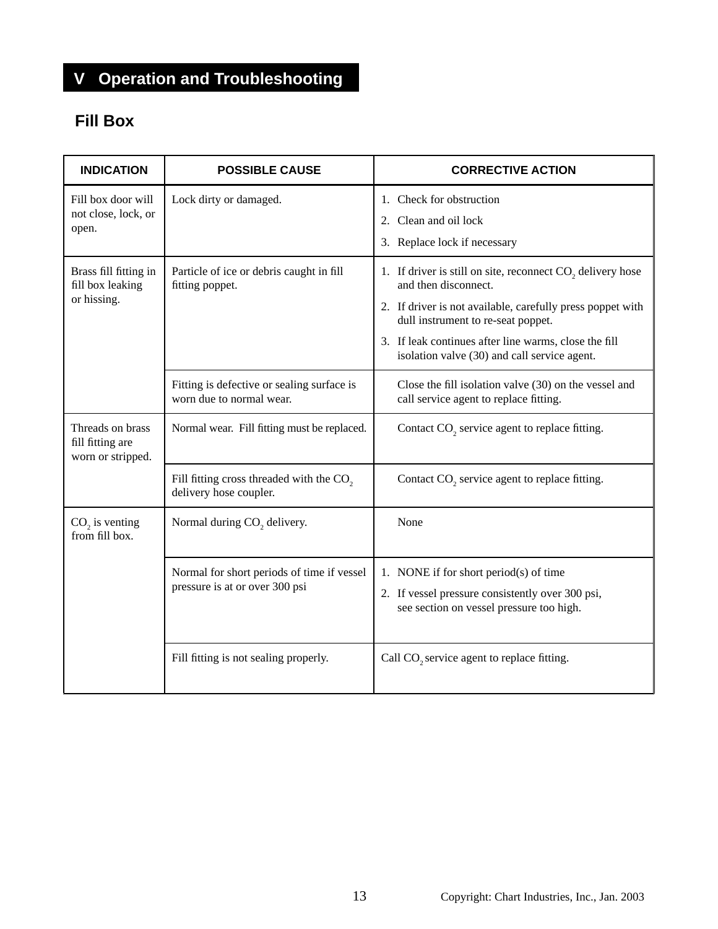## **V Operation and Troubleshooting**

## **Fill Box**

| <b>INDICATION</b>                                         | <b>POSSIBLE CAUSE</b>                                                          | <b>CORRECTIVE ACTION</b>                                                                                                                                                                                                                                                                                    |  |
|-----------------------------------------------------------|--------------------------------------------------------------------------------|-------------------------------------------------------------------------------------------------------------------------------------------------------------------------------------------------------------------------------------------------------------------------------------------------------------|--|
| Fill box door will<br>not close, lock, or<br>open.        | Lock dirty or damaged.                                                         | 1. Check for obstruction<br>Clean and oil lock<br>2.<br>3. Replace lock if necessary                                                                                                                                                                                                                        |  |
| Brass fill fitting in<br>fill box leaking<br>or hissing.  | Particle of ice or debris caught in fill<br>fitting poppet.                    | 1. If driver is still on site, reconnect CO <sub>2</sub> delivery hose<br>and then disconnect.<br>2. If driver is not available, carefully press poppet with<br>dull instrument to re-seat poppet.<br>3. If leak continues after line warms, close the fill<br>isolation valve (30) and call service agent. |  |
|                                                           | Fitting is defective or sealing surface is<br>worn due to normal wear.         | Close the fill isolation valve (30) on the vessel and<br>call service agent to replace fitting.                                                                                                                                                                                                             |  |
| Threads on brass<br>fill fitting are<br>worn or stripped. | Normal wear. Fill fitting must be replaced.                                    | Contact CO <sub>2</sub> service agent to replace fitting.                                                                                                                                                                                                                                                   |  |
|                                                           | Fill fitting cross threaded with the CO <sub>2</sub><br>delivery hose coupler. | Contact CO <sub>2</sub> service agent to replace fitting.                                                                                                                                                                                                                                                   |  |
| $CO2$ is venting<br>from fill box.                        | Normal during CO <sub>2</sub> delivery.                                        | None                                                                                                                                                                                                                                                                                                        |  |
|                                                           | Normal for short periods of time if vessel<br>pressure is at or over 300 psi   | 1. NONE if for short period(s) of time<br>2. If vessel pressure consistently over 300 psi,<br>see section on vessel pressure too high.                                                                                                                                                                      |  |
|                                                           | Fill fitting is not sealing properly.                                          | Call CO <sub>2</sub> service agent to replace fitting.                                                                                                                                                                                                                                                      |  |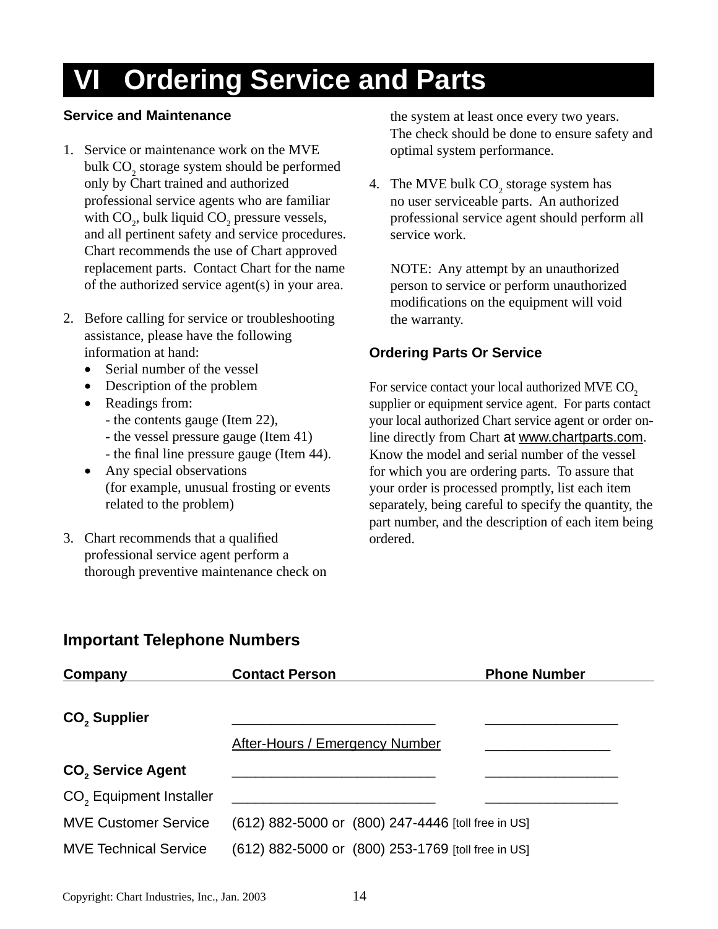## **VI Ordering Service and Parts**

### **Service and Maintenance**

- 1. Service or maintenance work on the MVE bulk  $\text{CO}_2$  storage system should be performed only by Chart trained and authorized professional service agents who are familiar with  $CO<sub>2</sub>$ , bulk liquid  $CO<sub>2</sub>$  pressure vessels, and all pertinent safety and service procedures. Chart recommends the use of Chart approved replacement parts. Contact Chart for the name of the authorized service agent(s) in your area.
- 2. Before calling for service or troubleshooting assistance, please have the following information at hand:
	- Serial number of the vessel
	- Description of the problem
	- Readings from:
		- the contents gauge (Item 22),
		- the vessel pressure gauge (Item 41)
		- the final line pressure gauge (Item 44).
	- Any special observations (for example, unusual frosting or events related to the problem)
- 3. Chart recommends that a qualified professional service agent perform a thorough preventive maintenance check on

 the system at least once every two years. The check should be done to ensure safety and optimal system performance.

4. The MVE bulk  $CO_2$  storage system has no user serviceable parts. An authorized professional service agent should perform all service work.

NOTE: Any attempt by an unauthorized person to service or perform unauthorized modifications on the equipment will void the warranty.

## **Ordering Parts Or Service**

For service contact your local authorized MVE CO<sub>2</sub> supplier or equipment service agent. For parts contact your local authorized Chart service agent or order online directly from Chart at www.chartparts.com. Know the model and serial number of the vessel for which you are ordering parts. To assure that your order is processed promptly, list each item separately, being careful to specify the quantity, the part number, and the description of each item being ordered.

## **Important Telephone Numbers**

| Company                             | <b>Contact Person</b>                              | <b>Phone Number</b> |
|-------------------------------------|----------------------------------------------------|---------------------|
|                                     |                                                    |                     |
| CO <sub>2</sub> Supplier            |                                                    |                     |
|                                     | <b>After-Hours / Emergency Number</b>              |                     |
| CO <sub>2</sub> Service Agent       |                                                    |                     |
| CO <sub>2</sub> Equipment Installer |                                                    |                     |
| <b>MVE Customer Service</b>         | (612) 882-5000 or (800) 247-4446 [toll free in US] |                     |
| <b>MVE Technical Service</b>        | (612) 882-5000 or (800) 253-1769 [toll free in US] |                     |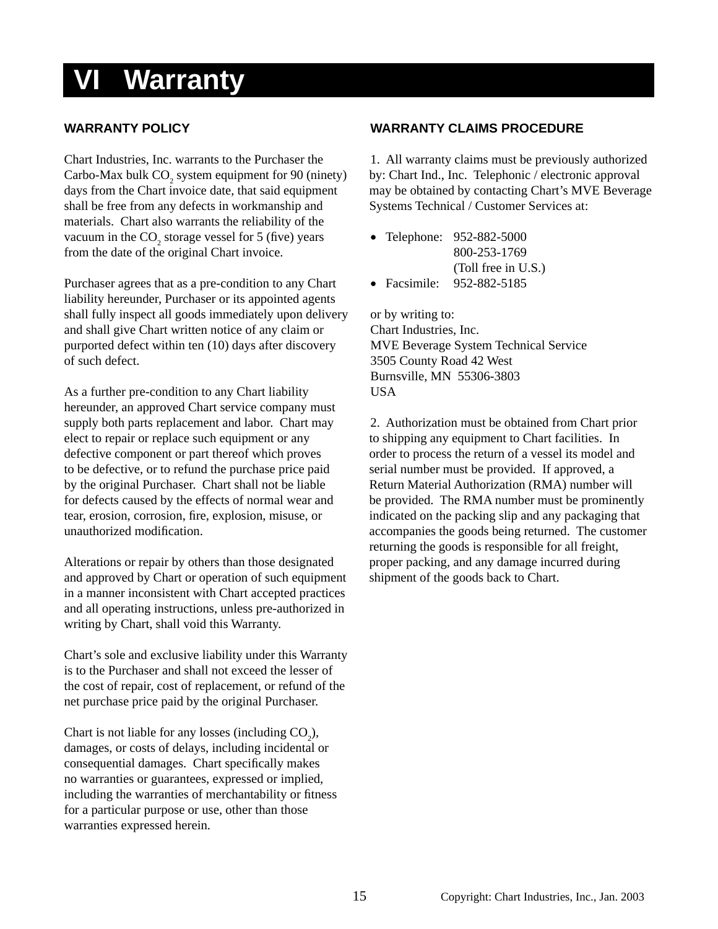## **VI Warranty**

#### **WARRANTY POLICY**

Chart Industries, Inc. warrants to the Purchaser the Carbo-Max bulk  $CO_2$  system equipment for 90 (ninety) days from the Chart invoice date, that said equipment shall be free from any defects in workmanship and materials. Chart also warrants the reliability of the vacuum in the  $CO_2$  storage vessel for 5 (five) years from the date of the original Chart invoice.

Purchaser agrees that as a pre-condition to any Chart liability hereunder, Purchaser or its appointed agents shall fully inspect all goods immediately upon delivery and shall give Chart written notice of any claim or purported defect within ten (10) days after discovery of such defect.

As a further pre-condition to any Chart liability hereunder, an approved Chart service company must supply both parts replacement and labor. Chart may elect to repair or replace such equipment or any defective component or part thereof which proves to be defective, or to refund the purchase price paid by the original Purchaser. Chart shall not be liable for defects caused by the effects of normal wear and tear, erosion, corrosion, fire, explosion, misuse, or unauthorized modification.

Alterations or repair by others than those designated and approved by Chart or operation of such equipment in a manner inconsistent with Chart accepted practices and all operating instructions, unless pre-authorized in writing by Chart, shall void this Warranty.

Chart's sole and exclusive liability under this Warranty is to the Purchaser and shall not exceed the lesser of the cost of repair, cost of replacement, or refund of the net purchase price paid by the original Purchaser.

Chart is not liable for any losses (including  $CO<sub>2</sub>$ ), damages, or costs of delays, including incidental or consequential damages. Chart specifically makes no warranties or guarantees, expressed or implied, including the warranties of merchantability or fitness for a particular purpose or use, other than those warranties expressed herein.

#### **WARRANTY CLAIMS PROCEDURE**

1. All warranty claims must be previously authorized by: Chart Ind., Inc. Telephonic / electronic approval may be obtained by contacting Chart's MVE Beverage Systems Technical / Customer Services at:

• Telephone: 952-882-5000 800-253-1769 (Toll free in U.S.)

• Facsimile: 952-882-5185

or by writing to: Chart Industries, Inc. MVE Beverage System Technical Service 3505 County Road 42 West Burnsville, MN 55306-3803 **USA** 

2. Authorization must be obtained from Chart prior to shipping any equipment to Chart facilities. In order to process the return of a vessel its model and serial number must be provided. If approved, a Return Material Authorization (RMA) number will be provided. The RMA number must be prominently indicated on the packing slip and any packaging that accompanies the goods being returned. The customer returning the goods is responsible for all freight, proper packing, and any damage incurred during shipment of the goods back to Chart.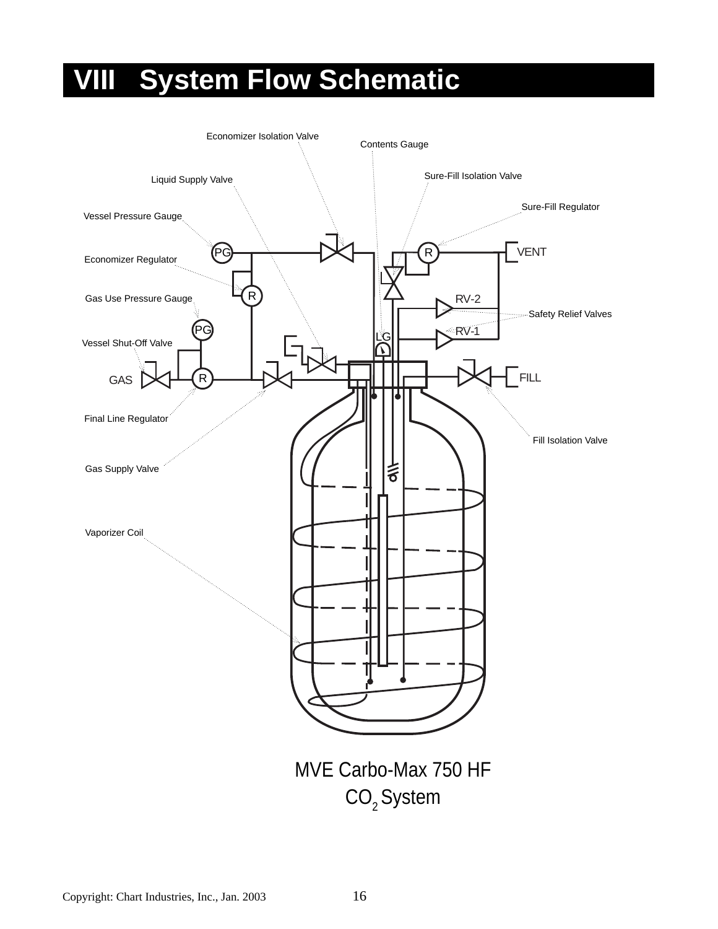## **VIII System Flow Schematic**